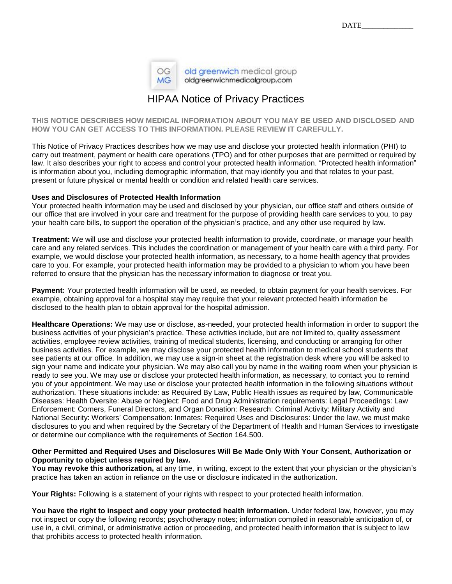| MG. | OG | old greenwich medical group<br>oldgreenwichmedicalgroup.com |
|-----|----|-------------------------------------------------------------|
|-----|----|-------------------------------------------------------------|

## HIPAA Notice of Privacy Practices

**THIS NOTICE DESCRIBES HOW MEDICAL INFORMATION ABOUT YOU MAY BE USED AND DISCLOSED AND HOW YOU CAN GET ACCESS TO THIS INFORMATION. PLEASE REVIEW IT CAREFULLY.**

This Notice of Privacy Practices describes how we may use and disclose your protected health information (PHI) to carry out treatment, payment or health care operations (TPO) and for other purposes that are permitted or required by law. It also describes your right to access and control your protected health information. "Protected health information" is information about you, including demographic information, that may identify you and that relates to your past, present or future physical or mental health or condition and related health care services.

## **Uses and Disclosures of Protected Health Information**

Your protected health information may be used and disclosed by your physician, our office staff and others outside of our office that are involved in your care and treatment for the purpose of providing health care services to you, to pay your health care bills, to support the operation of the physician's practice, and any other use required by law.

**Treatment:** We will use and disclose your protected health information to provide, coordinate, or manage your health care and any related services. This includes the coordination or management of your health care with a third party. For example, we would disclose your protected health information, as necessary, to a home health agency that provides care to you. For example, your protected health information may be provided to a physician to whom you have been referred to ensure that the physician has the necessary information to diagnose or treat you.

**Payment:** Your protected health information will be used, as needed, to obtain payment for your health services. For example, obtaining approval for a hospital stay may require that your relevant protected health information be disclosed to the health plan to obtain approval for the hospital admission.

**Healthcare Operations:** We may use or disclose, as-needed, your protected health information in order to support the business activities of your physician's practice. These activities include, but are not limited to, quality assessment activities, employee review activities, training of medical students, licensing, and conducting or arranging for other business activities. For example, we may disclose your protected health information to medical school students that see patients at our office. In addition, we may use a sign-in sheet at the registration desk where you will be asked to sign your name and indicate your physician. We may also call you by name in the waiting room when your physician is ready to see you. We may use or disclose your protected health information, as necessary, to contact you to remind you of your appointment. We may use or disclose your protected health information in the following situations without authorization. These situations include: as Required By Law, Public Health issues as required by law, Communicable Diseases: Health Oversite: Abuse or Neglect: Food and Drug Administration requirements: Legal Proceedings: Law Enforcement: Corners, Funeral Directors, and Organ Donation: Research: Criminal Activity: Military Activity and National Security: Workers' Compensation: Inmates: Required Uses and Disclosures: Under the law, we must make disclosures to you and when required by the Secretary of the Department of Health and Human Services to investigate or determine our compliance with the requirements of Section 164.500.

## **Other Permitted and Required Uses and Disclosures Will Be Made Only With Your Consent, Authorization or Opportunity to object unless required by law.**

You may revoke this authorization, at any time, in writing, except to the extent that your physician or the physician's practice has taken an action in reliance on the use or disclosure indicated in the authorization.

**Your Rights:** Following is a statement of your rights with respect to your protected health information.

You have the right to inspect and copy your protected health information. Under federal law, however, you may not inspect or copy the following records; psychotherapy notes; information compiled in reasonable anticipation of, or use in, a civil, criminal, or administrative action or proceeding, and protected health information that is subject to law that prohibits access to protected health information.